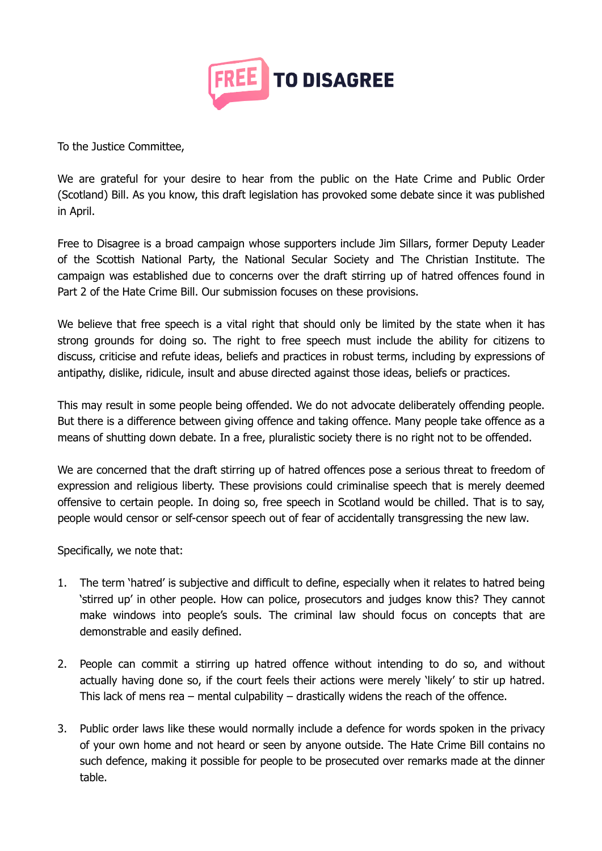

To the Justice Committee,

We are grateful for your desire to hear from the public on the Hate Crime and Public Order (Scotland) Bill. As you know, this draft legislation has provoked some debate since it was published in April.

Free to Disagree is a broad campaign whose supporters include Jim Sillars, former Deputy Leader of the Scottish National Party, the National Secular Society and The Christian Institute. The campaign was established due to concerns over the draft stirring up of hatred offences found in Part 2 of the Hate Crime Bill. Our submission focuses on these provisions.

We believe that free speech is a vital right that should only be limited by the state when it has strong grounds for doing so. The right to free speech must include the ability for citizens to discuss, criticise and refute ideas, beliefs and practices in robust terms, including by expressions of antipathy, dislike, ridicule, insult and abuse directed against those ideas, beliefs or practices.

This may result in some people being offended. We do not advocate deliberately offending people. But there is a difference between giving offence and taking offence. Many people take offence as a means of shutting down debate. In a free, pluralistic society there is no right not to be offended.

We are concerned that the draft stirring up of hatred offences pose a serious threat to freedom of expression and religious liberty. These provisions could criminalise speech that is merely deemed offensive to certain people. In doing so, free speech in Scotland would be chilled. That is to say, people would censor or self-censor speech out of fear of accidentally transgressing the new law.

Specifically, we note that:

- 1. The term 'hatred' is subjective and difficult to define, especially when it relates to hatred being 'stirred up' in other people. How can police, prosecutors and judges know this? They cannot make windows into people's souls. The criminal law should focus on concepts that are demonstrable and easily defined.
- 2. People can commit a stirring up hatred offence without intending to do so, and without actually having done so, if the court feels their actions were merely 'likely' to stir up hatred. This lack of mens rea – mental culpability – drastically widens the reach of the offence.
- 3. Public order laws like these would normally include a defence for words spoken in the privacy of your own home and not heard or seen by anyone outside. The Hate Crime Bill contains no such defence, making it possible for people to be prosecuted over remarks made at the dinner table.